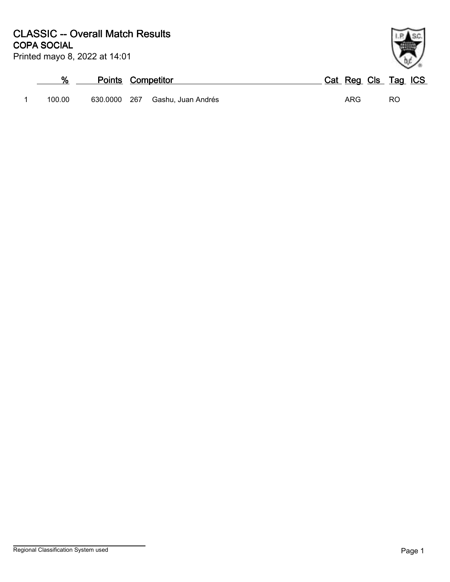| Printed mayo 8, 2022 at 14:01 |  |  |  |  |
|-------------------------------|--|--|--|--|
|-------------------------------|--|--|--|--|

| %      | <b>Points Competitor</b> |                        | Cat Reg Cls Tag ICS |    |  |
|--------|--------------------------|------------------------|---------------------|----|--|
| 100.00 | 630.0000                 | 267 Gashu, Juan Andrés | ARG                 | RC |  |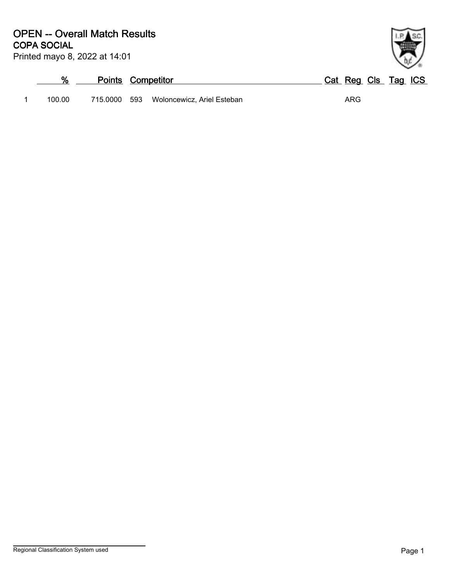Printed mayo 8, 2022 at 14:01

# **% Points Competitor Cat Reg Cls Tag ICS** 1 100.00 715.0000 593 Woloncewicz, Ariel Esteban ARG

Regional Classification System used **Page 1**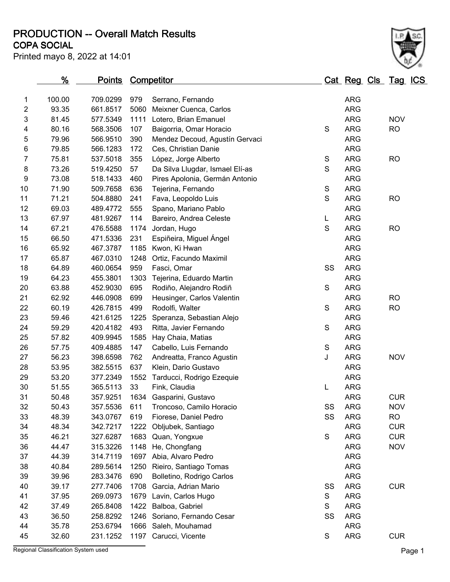**COPA SOCIAL PRODUCTION -- Overall Match Results**

Printed mayo 8, 2022 at 14:01

|                | %      | <b>Points</b> |      | <b>Competitor</b>               |               | Cat Reg Cls Tag ICS |            |  |
|----------------|--------|---------------|------|---------------------------------|---------------|---------------------|------------|--|
| 1              | 100.00 | 709.0299      | 979  | Serrano, Fernando               |               | <b>ARG</b>          |            |  |
| $\overline{c}$ | 93.35  | 661.8517      | 5060 | Meixner Cuenca, Carlos          |               | <b>ARG</b>          |            |  |
| 3              | 81.45  | 577.5349      | 1111 | Lotero, Brian Emanuel           |               | <b>ARG</b>          | <b>NOV</b> |  |
| 4              | 80.16  | 568.3506      | 107  | Baigorria, Omar Horacio         | S             | <b>ARG</b>          | <b>RO</b>  |  |
| 5              | 79.96  | 566.9510      | 390  | Mendez Decoud, Agustín Gervaci  |               | <b>ARG</b>          |            |  |
| 6              | 79.85  | 566.1283      | 172  | Ces, Christian Danie            |               | <b>ARG</b>          |            |  |
| $\overline{7}$ | 75.81  | 537.5018      | 355  | López, Jorge Alberto            | $\mathsf S$   | <b>ARG</b>          | <b>RO</b>  |  |
| 8              | 73.26  | 519.4250      | 57   | Da Silva Llugdar, Ismael Elí-as | S             | <b>ARG</b>          |            |  |
| 9              | 73.08  | 518.1433      | 460  | Pires Apolonia, Germán Antonio  |               | <b>ARG</b>          |            |  |
| 10             | 71.90  | 509.7658      | 636  | Tejerina, Fernando              | $\mathbf S$   | <b>ARG</b>          |            |  |
| 11             | 71.21  | 504.8880      | 241  | Fava, Leopoldo Luis             | S             | <b>ARG</b>          | <b>RO</b>  |  |
| 12             | 69.03  | 489.4772      | 555  | Spano, Mariano Pablo            |               | <b>ARG</b>          |            |  |
| 13             | 67.97  | 481.9267      | 114  | Bareiro, Andrea Celeste         | L             | <b>ARG</b>          |            |  |
| 14             | 67.21  | 476.5588      | 1174 | Jordan, Hugo                    | S             | <b>ARG</b>          | <b>RO</b>  |  |
| 15             | 66.50  | 471.5336      | 231  | Espiñeira, Miguel Ángel         |               | <b>ARG</b>          |            |  |
| 16             | 65.92  | 467.3787      | 1185 | Kwon, Ki Hwan                   |               | <b>ARG</b>          |            |  |
| 17             | 65.87  | 467.0310      | 1248 | Ortiz, Facundo Maximil          |               | <b>ARG</b>          |            |  |
| 18             | 64.89  | 460.0654      | 959  | Fasci, Omar                     | SS            | <b>ARG</b>          |            |  |
| 19             | 64.23  | 455.3801      | 1303 | Tejerina, Eduardo Martin        |               | <b>ARG</b>          |            |  |
| 20             | 63.88  | 452.9030      | 695  | Rodiño, Alejandro Rodiñ         | S             | <b>ARG</b>          |            |  |
| 21             | 62.92  | 446.0908      | 699  | Heusinger, Carlos Valentin      |               | <b>ARG</b>          | <b>RO</b>  |  |
| 22             | 60.19  | 426.7815      | 499  | Rodolfi, Walter                 | S             | <b>ARG</b>          | <b>RO</b>  |  |
| 23             | 59.46  | 421.6125      | 1225 | Speranza, Sebastian Alejo       |               | <b>ARG</b>          |            |  |
| 24             | 59.29  | 420.4182      | 493  | Ritta, Javier Fernando          | $\mathsf S$   | <b>ARG</b>          |            |  |
| 25             | 57.82  | 409.9945      | 1585 | Hay Chaia, Matias               |               | <b>ARG</b>          |            |  |
| 26             | 57.75  | 409.4885      | 147  | Cabello, Luis Fernando          | $\mathbf S$   | <b>ARG</b>          |            |  |
| 27             | 56.23  | 398.6598      | 762  | Andreatta, Franco Agustin       | J             | <b>ARG</b>          | <b>NOV</b> |  |
| 28             | 53.95  | 382.5515      | 637  | Klein, Dario Gustavo            |               | <b>ARG</b>          |            |  |
| 29             | 53.20  | 377.2349      | 1552 | Tarducci, Rodrigo Ezequie       |               | <b>ARG</b>          |            |  |
| 30             | 51.55  | 365.5113      | 33   | Fink, Claudia                   | L             | <b>ARG</b>          |            |  |
| 31             | 50.48  | 357.9251      |      | 1634 Gasparini, Gustavo         |               | <b>ARG</b>          | <b>CUR</b> |  |
| 32             | 50.43  | 357.5536      | 611  | Troncoso, Camilo Horacio        | SS            | <b>ARG</b>          | <b>NOV</b> |  |
| 33             | 48.39  | 343.0767      | 619  | Fiorese, Daniel Pedro           | SS            | <b>ARG</b>          | <b>RO</b>  |  |
| 34             | 48.34  | 342.7217      | 1222 | Obljubek, Santiago              |               | <b>ARG</b>          | <b>CUR</b> |  |
| 35             | 46.21  | 327.6287      | 1683 | Quan, Yongxue                   | ${\mathsf S}$ | <b>ARG</b>          | <b>CUR</b> |  |
| 36             | 44.47  | 315.3226      | 1148 | He, Chongfang                   |               | <b>ARG</b>          | <b>NOV</b> |  |
| 37             | 44.39  | 314.7119      | 1697 | Abia, Alvaro Pedro              |               | <b>ARG</b>          |            |  |
| 38             | 40.84  | 289.5614      | 1250 | Rieiro, Santiago Tomas          |               | <b>ARG</b>          |            |  |
| 39             | 39.96  | 283.3476      | 690  | Bolletino, Rodrigo Carlos       |               | <b>ARG</b>          |            |  |
| 40             | 39.17  | 277.7406      | 1708 | Garcia, Adrian Mario            | SS            | <b>ARG</b>          | <b>CUR</b> |  |
| 41             | 37.95  | 269.0973      | 1679 | Lavin, Carlos Hugo              | S             | <b>ARG</b>          |            |  |
| 42             | 37.49  | 265.8408      | 1422 | Balboa, Gabriel                 | S             | <b>ARG</b>          |            |  |
| 43             | 36.50  | 258.8292      | 1246 | Soriano, Fernando Cesar         | SS            | <b>ARG</b>          |            |  |
| 44             | 35.78  | 253.6794      | 1666 | Saleh, Mouhamad                 |               | <b>ARG</b>          |            |  |
| 45             | 32.60  | 231.1252      | 1197 | Carucci, Vicente                | S             | <b>ARG</b>          | <b>CUR</b> |  |

Regional Classification System used **Page 1**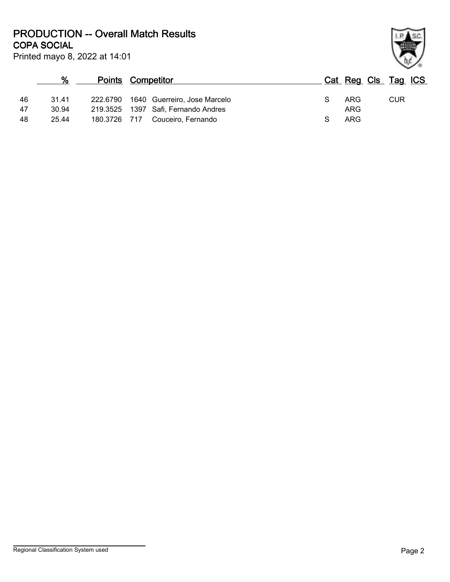**COPA SOCIAL PRODUCTION -- Overall Match Results**

Printed mayo 8, 2022 at 14:01

### **% Points Competitor Cat Reg Cls Tag ICS** 46 31.41 222.6790 1640 Guerreiro, Jose Marcelo S ARG CUR 47 30.94 219.3525 1397 Safi, Fernando Andres (1898) 25.44 219.3726 717 Couceiro. Fernando 48 25.44 180.3726 717 Couceiro, Fernando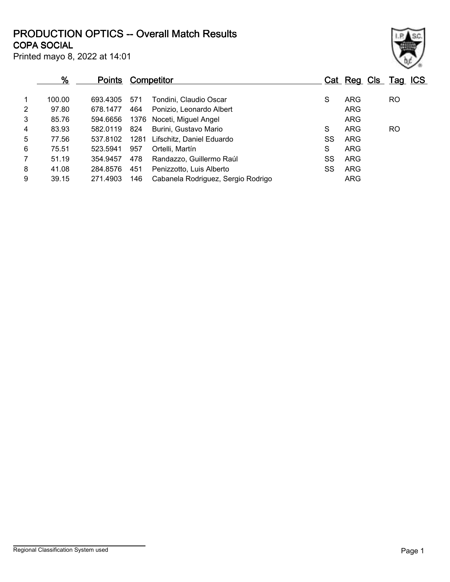# **COPA SOCIAL PRODUCTION OPTICS -- Overall Match Results**

Printed mayo 8, 2022 at 14:01

|                | <u>%</u> | <b>Points</b> |      | <b>Competitor</b>                  |    | Cat Reg Cls Tag ICS |     |  |
|----------------|----------|---------------|------|------------------------------------|----|---------------------|-----|--|
| 1              | 100.00   | 693.4305      | 571  | Tondini, Claudio Oscar             | S  | ARG                 | RO  |  |
| 2              | 97.80    | 678.1477      | 464  | Ponizio, Leonardo Albert           |    | <b>ARG</b>          |     |  |
| 3              | 85.76    | 594.6656      |      | 1376 Noceti, Miguel Angel          |    | <b>ARG</b>          |     |  |
| 4              | 83.93    | 582.0119      | 824  | Burini, Gustavo Mario              | S  | <b>ARG</b>          | RO. |  |
| 5              | 77.56    | 537.8102      | 1281 | Lifschitz, Daniel Eduardo          | SS | <b>ARG</b>          |     |  |
| 6              | 75.51    | 523.5941      | 957  | Ortelli, Martín                    | S  | <b>ARG</b>          |     |  |
| $\overline{7}$ | 51.19    | 354.9457      | 478  | Randazzo, Guillermo Raúl           | SS | ARG                 |     |  |
| 8              | 41.08    | 284.8576      | 451  | Penizzotto, Luis Alberto           | SS | <b>ARG</b>          |     |  |
| 9              | 39.15    | 271.4903      | 146  | Cabanela Rodriguez, Sergio Rodrigo |    | ARG                 |     |  |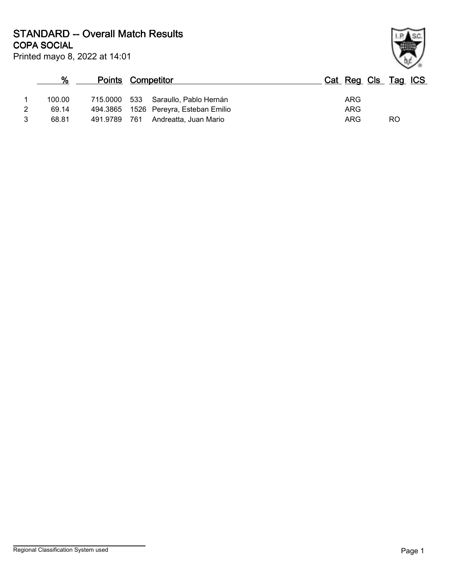Printed mayo 8, 2022 at 14:01 **COPA SOCIAL STANDARD -- Overall Match Results**

|   |        |              |                                       | $\sim$ 10           |
|---|--------|--------------|---------------------------------------|---------------------|
|   | %      |              | <b>Points Competitor</b>              | Cat Reg Cls Tag ICS |
|   | 100.00 |              | 715.0000 533 Saraullo, Pablo Hernán   | ARG                 |
| 2 | 69.14  |              | 494.3865 1526 Pereyra, Esteban Emilio | ARG                 |
|   | 68.81  | 491.9789 761 | Andreatta, Juan Mario                 | RO<br>ARG           |

Regional Classification System used **Page 1**